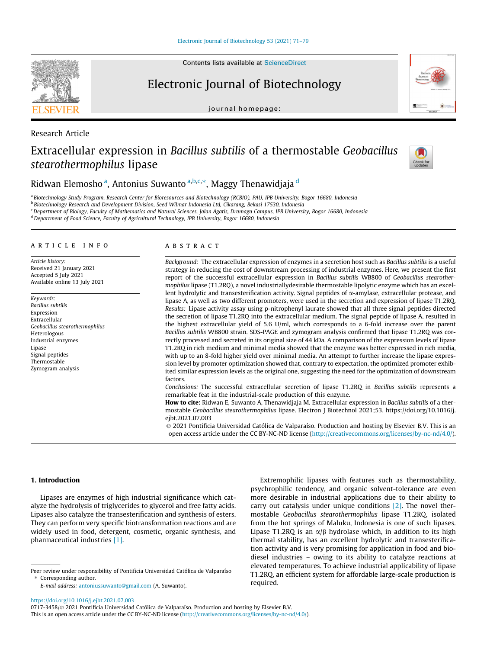# Electronic Journal of Biotechnology

journal homepage:



# Extracellular expression in Bacillus subtilis of a thermostable Geobacillus stearothermophilus lipase



Ridwan Elemosho <sup>a</sup>, Antonius Suwanto <sup>a,b,c,</sup>\*, Maggy Thenawidjaja <sup>d</sup>

<sup>a</sup> Biotechnology Study Program, Research Center for Bioresources and Biotechnology (RCBIO), PAU, IPB University, Bogor 16680, Indonesia

<sup>b</sup> Biotechnology Research and Development Division, Seed Wilmar Indonesia Ltd, Cikarang, Bekasi 17530, Indonesia

<sup>c</sup> Department of Biology, Faculty of Mathematics and Natural Sciences, Jalan Agatis, Dramaga Campus, IPB University, Bogor 16680, Indonesia

<sup>d</sup> Department of Food Science, Faculty of Agricultural Technology, IPB University, Bogor 16680, Indonesia

## article info

Article history: Received 21 January 2021 Accepted 5 July 2021 Available online 13 July 2021

Keywords: Bacillus subtilis Expression Extracellular Geobacillus stearothermophilus Heterologous Industrial enzymes Lipase Signal peptides Thermostable Zymogram analysis

# abstract

Background: The extracellular expression of enzymes in a secretion host such as Bacillus subtilis is a useful strategy in reducing the cost of downstream processing of industrial enzymes. Here, we present the first report of the successful extracellular expression in Bacillus subtilis WB800 of Geobacillus stearothermophilus lipase (T1.2RQ), a novel industriallydesirable thermostable lipolytic enzyme which has an excellent hydrolytic and transesterification activity. Signal peptides of  $\alpha$ -amylase, extracellular protease, and lipase A, as well as two different promoters, were used in the secretion and expression of lipase T1.2RQ. Results: Lipase activity assay using p-nitrophenyl laurate showed that all three signal peptides directed the secretion of lipase T1.2RQ into the extracellular medium. The signal peptide of lipase A, resulted in the highest extracellular yield of 5.6 U/ml, which corresponds to a 6-fold increase over the parent Bacillus subtilis WB800 strain. SDS-PAGE and zymogram analysis confirmed that lipase T1.2RQ was correctly processed and secreted in its original size of 44 kDa. A comparison of the expression levels of lipase T1.2RQ in rich medium and minimal media showed that the enzyme was better expressed in rich media, with up to an 8-fold higher yield over minimal media. An attempt to further increase the lipase expression level by promoter optimization showed that, contrary to expectation, the optimized promoter exhibited similar expression levels as the original one, suggesting the need for the optimization of downstream factors.

Conclusions: The successful extracellular secretion of lipase T1.2RQ in Bacillus subtilis represents a remarkable feat in the industrial-scale production of this enzyme.

How to cite: Ridwan E, Suwanto A, Thenawidjaja M. Extracellular expression in Bacillus subtilis of a thermostable Geobacillus stearothermophilus lipase. Electron J Biotechnol 2021;53. https://doi.org/10.1016/j. ejbt.2021.07.003

 2021 Pontificia Universidad Católica de Valparaíso. Production and hosting by Elsevier B.V. This is an open access article under the CC BY-NC-ND license (<http://creativecommons.org/licenses/by-nc-nd/4.0/>).

# 1. Introduction

Lipases are enzymes of high industrial significance which catalyze the hydrolysis of triglycerides to glycerol and free fatty acids. Lipases also catalyze the transesterification and synthesis of esters. They can perform very specific biotransformation reactions and are widely used in food, detergent, cosmetic, organic synthesis, and pharmaceutical industries [\[1\].](#page-7-0)

Extremophilic lipases with features such as thermostability, psychrophilic tendency, and organic solvent-tolerance are even more desirable in industrial applications due to their ability to carry out catalysis under unique conditions [\[2\]](#page-8-0). The novel thermostable Geobacillus stearothermophilus lipase T1.2RQ, isolated from the hot springs of Maluku, Indonesia is one of such lipases. Lipase T1.2RQ is an  $\alpha/\beta$  hydrolase which, in addition to its high thermal stability, has an excellent hydrolytic and transesterification activity and is very promising for application in food and biodiesel industries – owing to its ability to catalyze reactions at elevated temperatures. To achieve industrial applicability of lipase T1.2RQ, an efficient system for affordable large-scale production is required.

<https://doi.org/10.1016/j.ejbt.2021.07.003>

0717-3458/ 2021 Pontificia Universidad Católica de Valparaíso. Production and hosting by Elsevier B.V. This is an open access article under the CC BY-NC-ND license ([http://creativecommons.org/licenses/by-nc-nd/4.0/\)](http://creativecommons.org/licenses/by-nc-nd/4.0/).



Research Article

Peer review under responsibility of Pontificia Universidad Católica de Valparaíso ⇑ Corresponding author.

E-mail address: [antoniussuwanto@gmail.com](mailto:antoniussuwanto@gmail.com) (A. Suwanto).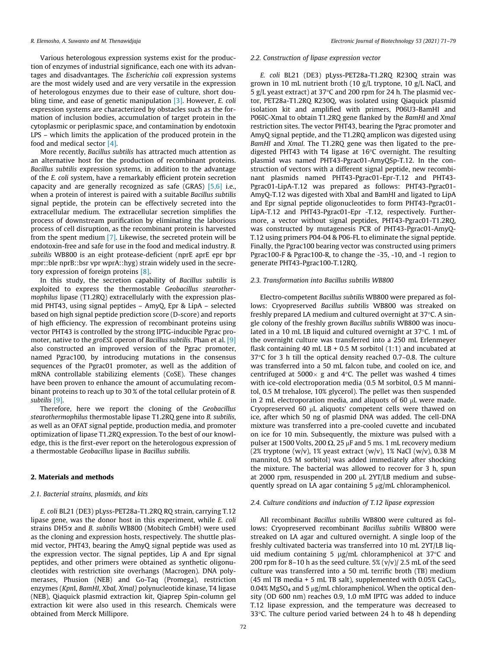Various heterologous expression systems exist for the production of enzymes of industrial significance, each one with its advantages and disadvantages. The Escherichia coli expression systems are the most widely used and are very versatile in the expression of heterologous enzymes due to their ease of culture, short dou-bling time, and ease of genetic manipulation [\[3\]](#page-8-0). However, E. coli expression systems are characterized by obstacles such as the formation of inclusion bodies, accumulation of target protein in the cytoplasmic or periplasmic space, and contamination by endotoxin LPS – which limits the application of the produced protein in the food and medical sector [\[4\]](#page-8-0).

More recently, Bacillus subtilis has attracted much attention as an alternative host for the production of recombinant proteins. Bacillus subtilis expression systems, in addition to the advantage of the E. coli system, have a remarkably efficient protein secretion capacity and are generally recognized as safe (GRAS) [\[5,6\]](#page-8-0) i.e., when a protein of interest is paired with a suitable Bacillus subtilis signal peptide, the protein can be effectively secreted into the extracellular medium. The extracellular secretion simplifies the process of downstream purification by eliminating the laborious process of cell disruption, as the recombinant protein is harvested from the spent medium [\[7\].](#page-8-0) Likewise, the secreted protein will be endotoxin-free and safe for use in the food and medical industry. B. subtilis WB800 is an eight protease-deficient (nprE aprE epr bpr mpr::ble nprB::bsr vpr wprA::hyg) strain widely used in the secretory expression of foreign proteins [\[8\].](#page-8-0)

In this study, the secretion capability of Bacillus subtilis is exploited to express the thermostable Geobacillus stearothermophilus lipase (T1.2RQ) extracellularly with the expression plasmid PHT43, using signal peptides – AmyQ, Epr & LipA – selected based on high signal peptide prediction score (D-score) and reports of high efficiency. The expression of recombinant proteins using vector PHT43 is controlled by the strong IPTG-inducible Pgrac pro-moter, native to the groESL operon of Bacillus subtilis. Phan et al. [\[9\]](#page-8-0) also constructed an improved version of the Pgrac promoter, named Pgrac100, by introducing mutations in the consensus sequences of the Pgrac01 promoter, as well as the addition of mRNA controllable stabilizing elements (CoSE). These changes have been proven to enhance the amount of accumulating recombinant proteins to reach up to 30 % of the total cellular protein of B. subtilis [\[9\]](#page-8-0).

Therefore, here we report the cloning of the Geobacillus stearothermophilus thermostable lipase T1.2RQ gene into B. subtilis, as well as an OFAT signal peptide, production media, and promoter optimization of lipase T1.2RQ expression. To the best of our knowledge, this is the first-ever report on the heterologous expression of a thermostable Geobacillus lipase in Bacillus subtilis.

## 2. Materials and methods

## 2.1. Bacterial strains, plasmids, and kits

E. coli BL21 (DE3) pLyss-PET28a-T1.2RQ RQ strain, carrying T.12 lipase gene, was the donor host in this experiment, while E. coli strains DH5a and B. subtilis WB800 (Mobitech GmbH) were used as the cloning and expression hosts, respectively. The shuttle plasmid vector, PHT43, bearing the AmyQ signal peptide was used as the expression vector. The signal peptides, Lip A and Epr signal peptides, and other primers were obtained as synthetic oligonucleotides with restriction site overhangs (Macrogen). DNA polymerases, Phusion (NEB) and Go-Taq (Promega), restriction enzymes (KpnI, BamHI, XbaI, XmaI) polynucleotide kinase, T4 ligase (NEB), Qiaquick plasmid extraction kit, Qiaprep Spin-column gel extraction kit were also used in this research. Chemicals were obtained from Merck Millipore.

### 2.2. Construction of lipase expression vector

E. coli BL21 (DE3) pLyss-PET28a-T1.2RQ R230Q strain was grown in 10 mL nutrient broth (10 g/L tryptone, 10 g/L NaCl, and 5 g/L yeast extract) at 37 $\degree$ C and 200 rpm for 24 h. The plasmid vector, PET28a-T1.2RQ R230Q, was isolated using Qiaquick plasmid isolation kit and amplified with primers, P06U3-BamHI and P06IC-XmaI to obtain T1.2RQ gene flanked by the BamHI and XmaI restriction sites. The vector PHT43, bearing the Pgrac promoter and AmyQ signal peptide, and the T1.2RQ amplicon was digested using BamHI and XmaI. The T1.2RQ gene was then ligated to the predigested PHT43 with T4 ligase at  $16^{\circ}$ C overnight. The resulting plasmid was named PHT43-Pgrac01-AmyQSp-T.12. In the construction of vectors with a different signal peptide, new recombinant plasmids named PHT43-Pgrac01-Epr-T.12 and PHT43- Pgrac01-LipA-T.12 was prepared as follows: PHT43-Pgrac01- AmyQ-T.12 was digested with XbaI and BamHI and ligated to LipA and Epr signal peptide oligonucleotides to form PHT43-Pgrac01- LipA-T.12 and PHT43-Pgrac01-Epr -T.12, respectively. Furthermore, a vector without signal peptides, PHT43-Pgrac01-T1.2RQ, was constructed by mutagenesis PCR of PHT43-Pgrac01-AmyQ-T.12 using primers P04-04 & P06-FL to eliminate the signal peptide. Finally, the Pgrac100 bearing vector was constructed using primers Pgrac100-F & Pgrac100-R, to change the -35, -10, and -1 region to generate PHT43-Pgrac100-T.12RQ.

## 2.3. Transformation into Bacillus subtilis WB800

Electro-competent Bacillus subtilis WB800 were prepared as follows: Cryopreserved Bacillus subtilis WB800 was streaked on freshly prepared LA medium and cultured overnight at  $37^{\circ}$ C. A single colony of the freshly grown Bacillus subtilis WB800 was inoculated in a 10 mL LB liquid and cultured overnight at  $37^{\circ}$ C. 1 mL of the overnight culture was transferred into a 250 mL Erlenmeyer flask containing 40 mL LB + 0.5 M sorbitol  $(1:1)$  and incubated at  $37^{\circ}$ C for 3 h till the optical density reached 0.7–0.8. The culture was transferred into a 50 mL falcon tube, and cooled on ice, and centrifuged at 5000 $\times$  g and 4 $\degree$ C. The pellet was washed 4 times with ice-cold electroporation media (0.5 M sorbitol, 0.5 M mannitol, 0.5 M trehalose, 10% glycerol). The pellet was then suspended in 2 mL electroporation media, and aliquots of 60  $\mu$ L were made. Cryopreserved 60 µL aliquots' competent cells were thawed on ice, after which 50 ng of plasmid DNA was added. The cell-DNA mixture was transferred into a pre-cooled cuvette and incubated on ice for 10 min. Subsequently, the mixture was pulsed with a pulser at 1500 Volts, 200  $\Omega$ , 25  $\mu$ F and 5 ms. 1 mL recovery medium (2% tryptone (w/v), 1% yeast extract (w/v), 1% NaCl (w/v), 0.38 M mannitol, 0.5 M sorbitol) was added immediately after shocking the mixture. The bacterial was allowed to recover for 3 h, spun at 2000 rpm, resuspended in 200 µL 2YT/LB medium and subsequently spread on LA agar containing  $5 \mu g/mL$  chloramphenicol.

## 2.4. Culture conditions and induction of T.12 lipase expression

All recombinant Bacillus subtilis WB800 were cultured as follows: Cryopreserved recombinant Bacillus subtilis WB800 were streaked on LA agar and cultured overnight. A single loop of the freshly cultivated bacteria was transferred into 10 mL 2YT/LB liquid medium containing 5  $\mu$ g/mL chloramphenicol at 37°C and 200 rpm for 8–10 h as the seed culture.  $5\%$  (v/v)/ 2.5 mL of the seed culture was transferred into a 50 mL terrific broth (TB) medium (45 ml TB media + 5 mL TB salt), supplemented with  $0.05\%$  CaCl<sub>2</sub>, 0.04% MgSO<sub>4</sub> and 5  $\mu$ g/mL chloramphenicol. When the optical density (OD 600 nm) reaches 0.9, 1.0 mM IPTG was added to induce T.12 lipase expression, and the temperature was decreased to 33 $\degree$ C. The culture period varied between 24 h to 48 h depending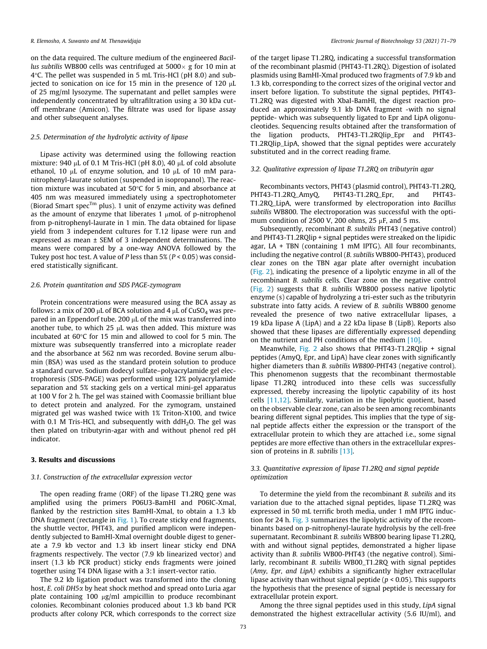on the data required. The culture medium of the engineered Bacillus subtilis WB800 cells was centrifuged at  $5000 \times$  g for 10 min at 4C. The pellet was suspended in 5 mL Tris-HCl (pH 8.0) and subjected to sonication on ice for 15 min in the presence of 120  $\mu$ L of 25 mg/ml lysozyme. The supernatant and pellet samples were independently concentrated by ultrafiltration using a 30 kDa cutoff membrane (Amicon). The filtrate was used for lipase assay and other subsequent analyses.

# 2.5. Determination of the hydrolytic activity of lipase

Lipase activity was determined using the following reaction mixture: 940 µL of 0.1 M Tris-HCl (pH 8.0), 40 µL of cold absolute ethanol, 10  $\mu$ L of enzyme solution, and 10  $\mu$ L of 10 mM paranitrophenyl-laurate solution (suspended in isopropanol). The reaction mixture was incubated at 50 $\degree$ C for 5 min, and absorbance at 405 nm was measured immediately using a spectrophotometer (Biorad Smart spec<sup>Tm</sup> plus). 1 unit of enzyme activity was defined as the amount of enzyme that liberates 1  $\mu$ moL of p-nitrophenol from p-nitrophenyl-laurate in 1 min. The data obtained for lipase yield from 3 independent cultures for T.12 lipase were run and expressed as mean ± SEM of 3 independent determinations. The means were compared by a one-way ANOVA followed by the Tukey post hoc test. A value of P less than  $5\%$  ( $P < 0.05$ ) was considered statistically significant.

# 2.6. Protein quantitation and SDS PAGE-zymogram

Protein concentrations were measured using the BCA assay as follows: a mix of 200  $\mu$ L of BCA solution and 4  $\mu$ L of CuSO<sub>4</sub> was prepared in an Eppendorf tube. 200  $\mu$ L of the mix was transferred into another tube, to which  $25 \mu L$  was then added. This mixture was incubated at  $60^{\circ}$ C for 15 min and allowed to cool for 5 min. The mixture was subsequently transferred into a microplate reader and the absorbance at 562 nm was recorded. Bovine serum albumin (BSA) was used as the standard protein solution to produce a standard curve. Sodium dodecyl sulfate–polyacrylamide gel electrophoresis (SDS-PAGE) was performed using 12% polyacrylamide separation and 5% stacking gels on a vertical mini-gel apparatus at 100 V for 2 h. The gel was stained with Coomassie brilliant blue to detect protein and analyzed. For the zymogram, unstained migrated gel was washed twice with 1% Triton-X100, and twice with 0.1 M Tris-HCl, and subsequently with  $ddH<sub>2</sub>O$ . The gel was then plated on tributyrin-agar with and without phenol red pH indicator.

# 3. Results and discussions

# 3.1. Construction of the extracellular expression vector

The open reading frame (ORF) of the lipase T1.2RQ gene was amplified using the primers P06U3-BamHI and P06IC-XmaI, flanked by the restriction sites BamHI-XmaI, to obtain a 1.3 kb DNA fragment (rectangle in [Fig. 1\)](#page-3-0). To create sticky end fragments, the shuttle vector, PHT43, and purified amplicon were independently subjected to BamHI-XmaI overnight double digest to generate a 7.9 kb vector and 1.3 kb insert linear sticky end DNA fragments respectively. The vector (7.9 kb linearized vector) and insert (1.3 kb PCR product) sticky ends fragments were joined together using T4 DNA ligase with a 3:1 insert-vector ratio.

The 9.2 kb ligation product was transformed into the cloning host, E. coli DH5 $\alpha$  by heat shock method and spread onto Luria agar plate containing 100  $\mu$ g/ml ampicillin to produce recombinant colonies. Recombinant colonies produced about 1.3 kb band PCR products after colony PCR, which corresponds to the correct size

of the target lipase T1.2RQ, indicating a successful transformation of the recombinant plasmid (PHT43-T1.2RQ). Digestion of isolated plasmids using BamHI-XmaI produced two fragments of 7.9 kb and 1.3 kb, corresponding to the correct sizes of the original vector and insert before ligation. To substitute the signal peptides, PHT43- T1.2RQ was digested with XbaI-BamHI, the digest reaction produced an approximately 9.1 kb DNA fragment -with no signal peptide- which was subsequently ligated to Epr and LipA oligonucleotides. Sequencing results obtained after the transformation of the ligation products, PHT43-T1.2RQlip\_Epr and PHT43- T1.2RQlip\_LipA, showed that the signal peptides were accurately substituted and in the correct reading frame.

# 3.2. Qualitative expression of lipase T1.2RQ on tributyrin agar

Recombinants vectors, PHT43 (plasmid control), PHT43-T1.2RQ, PHT43-T1.2RO AmvO, PHT43-T1.2RO Epr, and PHT43-T1.2RQ\_LipA, were transformed by electroporation into Bacillus subtilis WB800. The electroporation was successful with the optimum condition of 2500 V, 200 ohms, 25  $\mu$ F, and 5 ms.

Subsequently, recombinant B. subtilis PHT43 (negative control) and PHT43-T1.2RQlip + signal peptides were streaked on the lipidic agar,  $LA + TBN$  (containing 1 mM IPTG). All four recombinants, including the negative control (B. subtilis WB800-PHT43), produced clear zones on the TBN agar plate after overnight incubation ([Fig. 2](#page-3-0)), indicating the presence of a lipolytic enzyme in all of the recombinant B. subtilis cells. Clear zone on the negative control ([Fig. 2\)](#page-3-0) suggests that B. subtilis WB800 possess native lipolytic enzyme (s) capable of hydrolyzing a tri-ester such as the tributyrin substrate into fatty acids. A review of B. subtilis WB800 genome revealed the presence of two native extracellular lipases, a 19 kDa lipase A (LipA) and a 22 kDa lipase B (LipB). Reports also showed that these lipases are differentially expressed depending on the nutrient and PH conditions of the medium [\[10\]](#page-8-0).

Meanwhile, [Fig. 2](#page-3-0) also shows that PHT43-T1.2RQlip + signal peptides (AmyQ, Epr, and LipA) have clear zones with significantly higher diameters than *B. subtilis WB800-PHT43* (negative control). This phenomenon suggests that the recombinant thermostable lipase T1.2RQ introduced into these cells was successfully expressed, thereby increasing the lipolytic capability of its host cells [\[11,12\].](#page-8-0) Similarly, variation in the lipolytic quotient, based on the observable clear zone, can also be seen among recombinants bearing different signal peptides. This implies that the type of signal peptide affects either the expression or the transport of the extracellular protein to which they are attached i.e., some signal peptides are more effective than others in the extracellular expression of proteins in B. subtilis [\[13\]](#page-8-0).

# 3.3. Quantitative expression of lipase T1.2RQ and signal peptide optimization

To determine the yield from the recombinant B. subtilis and its variation due to the attached signal peptides, lipase T1.2RQ was expressed in 50 mL terrific broth media, under 1 mM IPTG induction for 24 h. [Fig. 3](#page-3-0) summarizes the lipolytic activity of the recombinants based on p-nitrophenyl-laurate hydrolysis by the cell-free supernatant. Recombinant B. subtilis WB800 bearing lipase T1.2RQ, with and without signal peptides, demonstrated a higher lipase activity than B. subtilis WB00-PHT43 (the negative control). Similarly, recombinant B. subtilis WB00\_T1.2RQ with signal peptides (Amy, Epr, and LipA) exhibits a significantly higher extracellular lipase activity than without signal peptide ( $p < 0.05$ ). This supports the hypothesis that the presence of signal peptide is necessary for extracellular protein export.

Among the three signal peptides used in this study, LipA signal demonstrated the highest extracellular activity (5.6 IU/ml), and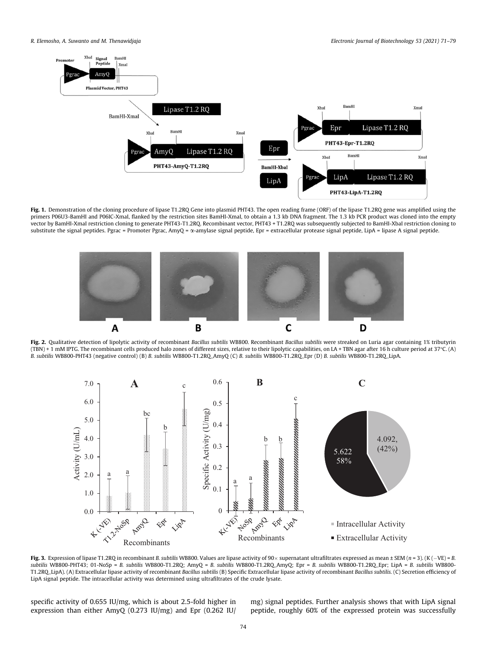<span id="page-3-0"></span>

Fig. 1. Demonstration of the cloning procedure of lipase T1.2RQ Gene into plasmid PHT43. The open reading frame (ORF) of the lipase T1.2RQ gene was amplified using the primers P06U3-BamHI and P06IC-XmaI, flanked by the restriction sites BamHI-XmaI, to obtain a 1.3 kb DNA fragment. The 1.3 kb PCR product was cloned into the empty vector by BamHI-XmaI restriction cloning to generate PHT43-T1.2RQ. Recombinant vector, PHT43 + T1.2RQ was subsequently subjected to BamHI-XbaI restriction cloning to substitute the signal peptides. Pgrac = Promoter Pgrac, AmyQ = a-amylase signal peptide, Epr = extracellular protease signal peptide, LipA = lipase A signal peptide.



Fig. 2. Qualitative detection of lipolytic activity of recombinant Bacillus subtilis WB800. Recombinant Bacillus subtilis were streaked on Luria agar containing 1% tributyrin (TBN) + 1 mM IPTG. The recombinant cells produced halo zones of different sizes, relative to their lipolytic capabilities, on LA + TBN agar after 16 h culture period at 37C. (A) B. subtilis WB800-PHT43 (negative control) (B) B. subtilis WB800-T1.2RQ\_AmyQ (C) B. subtilis WB800-T1.2RQ\_Epr (D) B. subtilis WB800-T1.2RQ\_LipA.



Fig. 3. Expression of lipase T1.2RQ in recombinant B. subtilis WB800. Values are lipase activity of 90  $\times$  supernatant ultrafiltrates expressed as mean ± SEM (n = 3). (K ( $-VE$ ) = B. subtilis WB800-PHT43; 01-NoSp = B. subtilis WB800-T1.2RQ; AmyQ = B. subtilis WB800-T1.2RQ\_AmyQ; Epr = B. subtilis WB800-T1.2RQ\_Epr; LipA = B. subtilis WB800- T1.2RQ\_LipA). (A) Extracellular lipase activity of recombinant Bacillus subtilis (B) Specific Extracellular lipase activity of recombinant Bacillus subtilis. (C) Secretion efficiency of LipA signal peptide. The intracellular activity was determined using ultrafiltrates of the crude lysate.

specific activity of 0.655 IU/mg, which is about 2.5-fold higher in expression than either AmyQ (0.273 IU/mg) and Epr (0.262 IU/

mg) signal peptides. Further analysis shows that with LipA signal peptide, roughly 60% of the expressed protein was successfully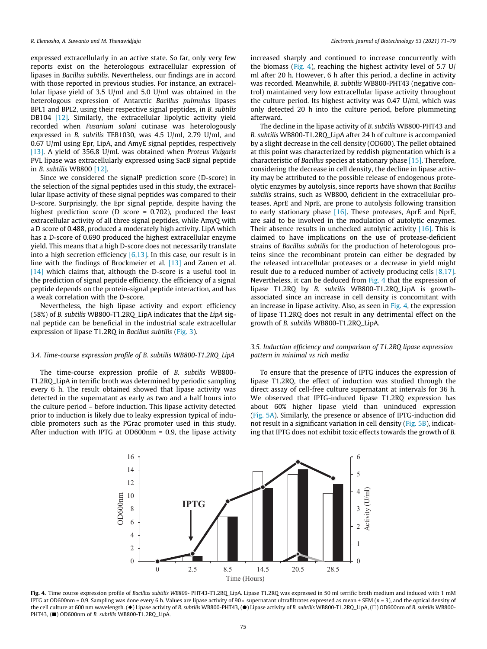expressed extracellularly in an active state. So far, only very few reports exist on the heterologous extracellular expression of lipases in Bacillus subtilis. Nevertheless, our findings are in accord with those reported in previous studies. For instance, an extracellular lipase yield of 3.5 U/ml and 5.0 U/ml was obtained in the heterologous expression of Antarctic Bacillus pulmulus lipases BPL1 and BPL2, using their respective signal peptides, in B. subtilis DB104 [\[12\]](#page-8-0). Similarly, the extracellular lipolytic activity yield recorded when Fusarium solani cutinase was heterologously expressed in B. subtilis TEB1030, was 4.5 U/ml, 2.79 U/ml, and 0.67 U/ml using Epr, LipA, and AmyE signal peptides, respectively [\[13\]](#page-8-0). A yield of 356.8 U/mL was obtained when Proteus Vulgaris PVL lipase was extracellularly expressed using SacB signal peptide in B. subtilis WB800 [\[12\].](#page-8-0)

Since we considered the signalP prediction score (D-score) in the selection of the signal peptides used in this study, the extracellular lipase activity of these signal peptides was compared to their D-score. Surprisingly, the Epr signal peptide, despite having the highest prediction score (D score = 0.702), produced the least extracellular activity of all three signal peptides, while AmyQ with a D score of 0.488, produced a moderately high activity. LipA which has a D-score of 0.690 produced the highest extracellular enzyme yield. This means that a high D-score does not necessarily translate into a high secretion efficiency [\[6,13\].](#page-8-0) In this case, our result is in line with the findings of Brockmeier et al. [\[13\]](#page-8-0) and Zanen et al. [\[14\]](#page-8-0) which claims that, although the D-score is a useful tool in the prediction of signal peptide efficiency, the efficiency of a signal peptide depends on the protein-signal peptide interaction, and has a weak correlation with the D-score.

Nevertheless, the high lipase activity and export efficiency (58%) of B. subtilis WB800-T1.2RQ\_LipA indicates that the LipA signal peptide can be beneficial in the industrial scale extracellular expression of lipase T1.2RQ in Bacillus subtilis [\(Fig. 3\)](#page-3-0).

### 3.4. Time-course expression profile of B. subtilis WB800-T1.2RQ\_LipA

The time-course expression profile of B. subtilis WB800- T1.2RQ\_LipA in terrific broth was determined by periodic sampling every 6 h. The result obtained showed that lipase activity was detected in the supernatant as early as two and a half hours into the culture period – before induction. This lipase activity detected prior to induction is likely due to leaky expression typical of inducible promoters such as the PGrac promoter used in this study. After induction with IPTG at OD600nm = 0.9, the lipase activity increased sharply and continued to increase concurrently with the biomass (Fig. 4), reaching the highest activity level of 5.7 U/ ml after 20 h. However, 6 h after this period, a decline in activity was recorded. Meanwhile, B. subtilis WB800-PHT43 (negative control) maintained very low extracellular lipase activity throughout the culture period. Its highest activity was 0.47 U/ml, which was only detected 20 h into the culture period, before plummeting afterward.

The decline in the lipase activity of B. subtilis WB800-PHT43 and B. subtilis WB800-T1.2RQ\_LipA after 24 h of culture is accompanied by a slight decrease in the cell density (OD600). The pellet obtained at this point was characterized by reddish pigmentation which is a characteristic of Bacillus species at stationary phase [\[15\].](#page-8-0) Therefore, considering the decrease in cell density, the decline in lipase activity may be attributed to the possible release of endogenous proteolytic enzymes by autolysis, since reports have shown that Bacillus subtilis strains, such as WB800, deficient in the extracellular proteases, AprE and NprE, are prone to autolysis following transition to early stationary phase [\[16\]](#page-8-0). These proteases, AprE and NprE, are said to be involved in the modulation of autolytic enzymes. Their absence results in unchecked autolytic activity [\[16\].](#page-8-0) This is claimed to have implications on the use of protease-deficient strains of Bacillus subtilis for the production of heterologous proteins since the recombinant protein can either be degraded by the released intracellular proteases or a decrease in yield might result due to a reduced number of actively producing cells [\[8,17\].](#page-8-0) Nevertheless, it can be deduced from Fig. 4 that the expression of lipase T1.2RQ by B. subtilis WB800-T1.2RQ\_LipA is growthassociated since an increase in cell density is concomitant with an increase in lipase activity. Also, as seen in Fig. 4, the expression of lipase T1.2RQ does not result in any detrimental effect on the growth of B. subtilis WB800-T1.2RQ\_LipA.

# 3.5. Induction efficiency and comparison of T1.2RQ lipase expression pattern in minimal vs rich media

To ensure that the presence of IPTG induces the expression of lipase T1.2RQ, the effect of induction was studied through the direct assay of cell-free culture supernatant at intervals for 36 h. We observed that IPTG-induced lipase T1.2RQ expression has about 60% higher lipase yield than uninduced expression ([Fig. 5A](#page-5-0)). Similarly, the presence or absence of IPTG-induction did not result in a significant variation in cell density [\(Fig. 5B](#page-5-0)), indicating that IPTG does not exhibit toxic effects towards the growth of B.



Fig. 4. Time course expression profile of Bacillus subtilis WB800-PHT43-T1.2RQ\_LipA. Lipase T1.2RQ was expressed in 50 ml terrific broth medium and induced with 1 mM IPTG at OD600nm = 0.9. Sampling was done every 6 h. Values are lipase activity of 90 x supernatant ultrafiltrates expressed as mean  $\pm$  SEM (n = 3), and the optical density of the cell culture at 600 nm wavelength. ( $\blacklozenge$ ) Lipase activity of B. subtilis WB800-PHT43, ( $\blacklozenge$ ) Lipase activity of B. subtilis WB800-PHT43, ( $\blacklozenge$ ) Lipase activity of B. subtilis WB800-PHT43, ( $\blacklozenge$ ) Lipase acti PHT43, ( $\blacksquare$ ) OD600nm of B. subtilis WB800-T1.2RQ\_LipA.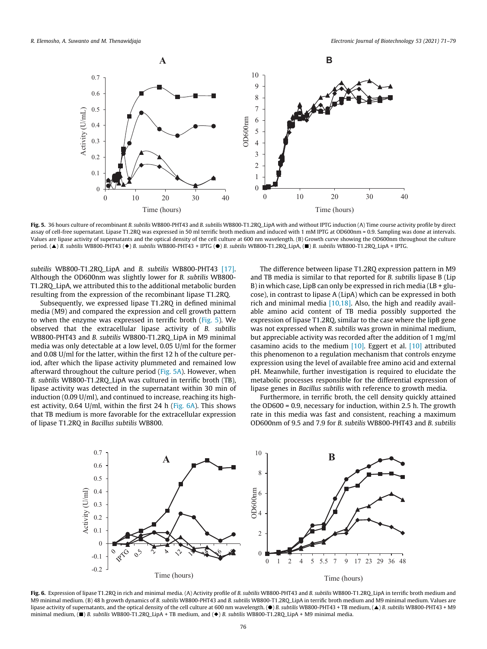<span id="page-5-0"></span>

Fig. 5. 36 hours culture of recombinant B. subtilis WB800-PHT43 and B. subtilis WB800-T1.2RQ\_LipA with and without IPTG induction (A) Time course activity profile by direct assay of cell-free supernatant. Lipase T1.2RQ was expressed in 50 ml terrific broth medium and induced with 1 mM IPTG at OD600nm = 0.9. Sampling was done at intervals. Values are lipase activity of supernatants and the optical density of the cell culture at 600 nm wavelength. (B) Growth curve showing the OD600nm throughout the culture period. (▲) B. subtilis WB800-PHT43 (◆) B. subtilis WB800-PHT43 + IPTG (●) B. subtilis WB800-T1.2RQ\_LipA, (■) B. subtilis WB800-T1.2RQ\_LipA + IPTG.

subtilis WB800-T1.2RQ\_LipA and B. subtilis WB800-PHT43 [\[17\].](#page-8-0) Although the OD600nm was slightly lower for B. subtilis WB800- T1.2RQ\_LipA, we attributed this to the additional metabolic burden resulting from the expression of the recombinant lipase T1.2RQ.

Subsequently, we expressed lipase T1.2RQ in defined minimal media (M9) and compared the expression and cell growth pattern to when the enzyme was expressed in terrific broth (Fig. 5). We observed that the extracellular lipase activity of B. subtilis WB800-PHT43 and B. subtilis WB800-T1.2RQ\_LipA in M9 minimal media was only detectable at a low level, 0.05 U/ml for the former and 0.08 U/ml for the latter, within the first 12 h of the culture period, after which the lipase activity plummeted and remained low afterward throughout the culture period (Fig. 5A). However, when B. subtilis WB800-T1.2RQ\_LipA was cultured in terrific broth (TB), lipase activity was detected in the supernatant within 30 min of induction (0.09 U/ml), and continued to increase, reaching its highest activity, 0.64 U/ml, within the first 24 h (Fig. 6A). This shows that TB medium is more favorable for the extracellular expression of lipase T1.2RQ in Bacillus subtilis WB800.

The difference between lipase T1.2RQ expression pattern in M9 and TB media is similar to that reported for B. subtilis lipase B (Lip B) in which case, LipB can only be expressed in rich media ( $LB + glu$ cose), in contrast to lipase A (LipA) which can be expressed in both rich and minimal media [\[10,18\]](#page-8-0). Also, the high and readily available amino acid content of TB media possibly supported the expression of lipase T1.2RQ, similar to the case where the lipB gene was not expressed when B. subtilis was grown in minimal medium, but appreciable activity was recorded after the addition of 1 mg/ml casamino acids to the medium  $[10]$ . Eggert et al.  $[10]$  attributed this phenomenon to a regulation mechanism that controls enzyme expression using the level of available free amino acid and external pH. Meanwhile, further investigation is required to elucidate the metabolic processes responsible for the differential expression of lipase genes in Bacillus subtilis with reference to growth media.

Furthermore, in terrific broth, the cell density quickly attained the OD600 = 0.9, necessary for induction, within 2.5 h. The growth rate in this media was fast and consistent, reaching a maximum OD600nm of 9.5 and 7.9 for B. subtilis WB800-PHT43 and B. subtilis



Fig. 6. Expression of lipase T1.2RQ in rich and minimal media. (A) Activity profile of B. subtilis WB800-PHT43 and B. subtilis WB800-T1.2RQ\_LipA in terrific broth medium and M9 minimal medium. (B) 48 h growth dynamics of B. subtilis WB800-PHT43 and B. subtilis WB800-T1.2RQ\_LipA in terrific broth medium and M9 minimal medium. Values are lipase activity of supernatants, and the optical density of the cell culture at 600 nm wavelength. (●) B. subtilis WB800-PHT43 + TB medium, (▲) B. subtilis WB800-PHT43 + M9 minimal medium,  $\Box$  B. subtilis WB800-T1.2RQ\_LipA + TB medium, and  $\Diamond$  B. subtilis WB800-T1.2RQ\_LipA + M9 minimal media.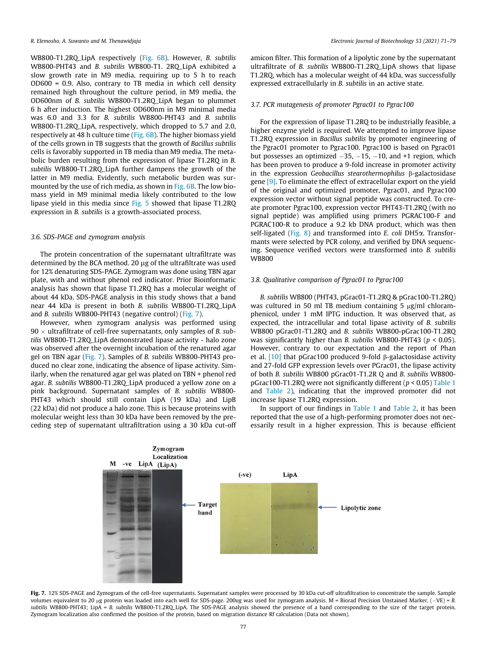WB800-T1.2RQ\_LipA respectively [\(Fig. 6B\)](#page-5-0). However, B. subtilis WB800-PHT43 and B. subtilis WB800-T1, 2RO LipA exhibited a slow growth rate in M9 media, requiring up to 5 h to reach OD600 = 0.9. Also, contrary to TB media in which cell density remained high throughout the culture period, in M9 media, the OD600nm of B. subtilis WB800-T1.2RQ\_LipA began to plummet 6 h after induction. The highest OD600nm in M9 minimal media was 6.0 and 3.3 for B. subtilis WB800-PHT43 and B. subtilis WB800-T1.2RQ\_LipA, respectively, which dropped to 5.7 and 2.0, respectively at 48 h culture time ([Fig. 6B](#page-5-0)). The higher biomass yield of the cells grown in TB suggests that the growth of Bacillus subtilis cells is favorably supported in TB media than M9 media. The metabolic burden resulting from the expression of lipase T1.2RQ in B. subtilis WB800-T1.2RQ\_LipA further dampens the growth of the latter in M9 media. Evidently, such metabolic burden was surmounted by the use of rich media, as shown in [Fig. 6B.](#page-5-0) The low biomass yield in M9 minimal media likely contributed to the low lipase yield in this media since [Fig. 5](#page-5-0) showed that lipase T1.2RQ expression in B. subtilis is a growth-associated process.

#### 3.6. SDS-PAGE and zymogram analysis

The protein concentration of the supernatant ultrafiltrate was determined by the BCA method. 20 µg of the ultrafiltrate was used for 12% denaturing SDS-PAGE. Zymogram was done using TBN agar plate, with and without phenol red indicator. Prior Bioinformatic analysis has shown that lipase T1.2RQ has a molecular weight of about 44 kDa. SDS-PAGE analysis in this study shows that a band near 44 kDa is present in both B. subtilis WB800-T1.2RQ\_LipA and *B. subtilis* WB800-PHT43 (negative control) (Fig. 7).

However, when zymogram analysis was performed using  $90 \times$  ultrafiltrate of cell-free supernatants, only samples of *B*. subtilis WB800-T1.2RQ\_LipA demonstrated lipase activity - halo zone was observed after the overnight incubation of the renatured agar gel on TBN agar (Fig. 7). Samples of B. subtilis WB800-PHT43 produced no clear zone, indicating the absence of lipase activity. Similarly, when the renatured agar gel was plated on TBN + phenol red agar. B. subtilis WB800-T1.2RQ\_LipA produced a yellow zone on a pink background. Supernatant samples of B. subtilis WB800- PHT43 which should still contain LipA (19 kDa) and LipB (22 kDa) did not produce a halo zone. This is because proteins with molecular weight less than 30 kDa have been removed by the preceding step of supernatant ultrafiltration using a 30 kDa cut-off amicon filter. This formation of a lipolytic zone by the supernatant ultrafiltrate of B. subtilis WB800-T1.2RO LipA shows that lipase T1.2RQ, which has a molecular weight of 44 kDa, was successfully expressed extracellularly in B. subtilis in an active state.

# 3.7. PCR mutagenesis of promoter Pgrac01 to Pgrac100

For the expression of lipase T1.2RQ to be industrially feasible, a higher enzyme yield is required. We attempted to improve lipase T1.2RQ expression in Bacillus subtilis by promoter engineering of the Pgrac01 promoter to Pgrac100. Pgrac100 is based on Pgrac01 but possesses an optimized  $-35$ ,  $-15$ ,  $-10$ , and  $+1$  region, which has been proven to produce a 9-fold increase in promoter activity in the expression Geobacillus stearothermophilus  $\beta$ -galactosidase gene [\[9\]](#page-8-0). To eliminate the effect of extracellular export on the yield of the original and optimized promoter, Pgrac01, and Pgrac100 expression vector without signal peptide was constructed. To create promoter Pgrac100, expression vector PHT43-T1.2RQ (with no signal peptide) was amplified using primers PGRAC100-F and PGRAC100-R to produce a 9.2 kb DNA product, which was then self-ligated [\(Fig. 8\)](#page-7-0) and transformed into  $E$ . coli DH5 $\alpha$ . Transformants were selected by PCR colony, and verified by DNA sequencing. Sequence verified vectors were transformed into B. subtilis **WB800** 

## 3.8. Qualitative comparison of Pgrac01 to Pgrac100

B. subtilis WB800 (PHT43, pGrac01-T1.2RQ & pGrac100-T1.2RQ) was cultured in 50 ml TB medium containing 5  $\mu$ g/ml chloramphenicol, under 1 mM IPTG induction. It was observed that, as expected, the intracellular and total lipase activity of B. subtilis WB800 pGrac01-T1.2RQ and B. subtilis WB800-pGrac100-T1.2RQ was significantly higher than B. subtilis WB800-PHT43 ( $p < 0.05$ ). However, contrary to our expectation and the report of Phan et al.  $[10]$  that pGrac100 produced 9-fold  $\beta$ -galactosidase activity and 27-fold GFP expression levels over PGrac01, the lipase activity of both B. subtilis WB800 pGrac01-T1.2R Q and B. subtilis WB800 pGrac100-T1.2RQ were not significantly different ( $p < 0.05$ ) [Table 1](#page-7-0) and [Table 2\)](#page-7-0), indicating that the improved promoter did not increase lipase T1.2RQ expression.

In support of our findings in [Table 1](#page-7-0) and [Table 2](#page-7-0), it has been reported that the use of a high-performing promoter does not necessarily result in a higher expression. This is because efficient



Fig. 7. 12% SDS-PAGE and Zymogram of the cell-free supernatants. Supernatant samples were processed by 30 kDa cut-off ultrafiltration to concentrate the sample. Sample volumes equivalent to 20 µg protein was loaded into each well for SDS-page. 200ug was used for zymogram analysis. M = Biorad Precision Unstained Marker,  $(-VE) = B$ . subtilis WB800-PHT43; LipA = B. subtilis WB800-T1.2RQ\_LipA. The SDS-PAGE analysis showed the presence of a band corresponding to the size of the target protein. Zymogram localization also confirmed the position of the protein, based on migration distance Rf calculation (Data not shown).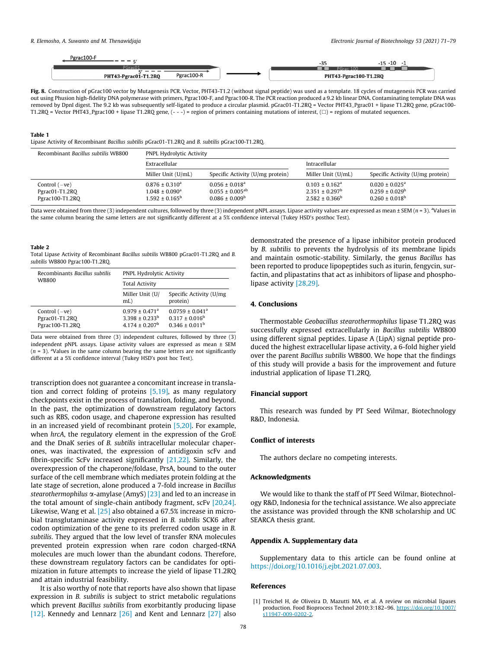<span id="page-7-0"></span>

| Pgrac100-F<br>$- - - c$            |                       | -15 -10 |
|------------------------------------|-----------------------|---------|
| PGrac01                            | PGrac 100             |         |
| Pgrac100-R<br>PHT43-Pgrac01-T1.2RQ | PHT43-Pgrac100-T1.2RQ |         |

Fig. 8. Construction of pGrac100 vector by Mutagenesis PCR. Vector, PHT43-T1.2 (without signal peptide) was used as a template. 18 cycles of mutagenesis PCR was carried out using Phusion high-fidelity DNA polymerase with primers, Pgrac100-F, and Pgrac100-R. The PCR reaction produced a 9.2 kb linear DNA. Contaminating template DNA was removed by DpnI digest. The 9.2 kb was subsequently self-ligated to produce a circular plasmid. pGrac01-T1.2RQ = Vector PHT43\_Pgrac01 + lipase T1.2RQ gene, pGrac100- T1.2RQ = Vector PHT43\_Pgrac100 + lipase T1.2RQ gene,  $(- - )$  = region of primers containing mutations of interest,  $(\square)$  = regions of mutated sequences.

#### Table 1

Lipase Activity of Recombinant Bacillus subtilis pGrac01-T1.2RQ and B. subtilis pGrac100-T1.2RQ.

| Recombinant Bacillus subtilis WB800                  | <b>PNPL Hydrolytic Activity</b>                                                    |                                                                            |                                                                         |                                                                                          |
|------------------------------------------------------|------------------------------------------------------------------------------------|----------------------------------------------------------------------------|-------------------------------------------------------------------------|------------------------------------------------------------------------------------------|
|                                                      | Extracellular                                                                      |                                                                            | Intracellular                                                           |                                                                                          |
|                                                      | Miller Unit (U/mL)                                                                 | Specific Activity (U/mg protein)                                           | Miller Unit (U/mL)                                                      | Specific Activity (U/mg protein)                                                         |
| Control $(-ve)$<br>Pgrac01-T1.2RQ<br>Pgrac100-T1.2RQ | $0.876 \pm 0.310^a$<br>$1.048 \pm 0.090$ <sup>a</sup><br>$1.592 \pm 0.165^{\circ}$ | $0.056 \pm 0.018^a$<br>$0.055 \pm 0.005^{ab}$<br>$0.086 \pm 0.009^{\rm b}$ | $0.103 \pm 0.162^a$<br>$2.351 \pm 0.297^{\rm b}$<br>$2.582 \pm 0.366^b$ | $0.020 \pm 0.025$ <sup>a</sup><br>$0.259 \pm 0.029^{\rm b}$<br>$0.260 \pm 0.018^{\rm b}$ |

Data were obtained from three (3) independent cultures, followed by three (3) independent pNPL assays. Lipase activity values are expressed as mean ± SEM ( $n$  = 3). <sup>a</sup>Values in the same column bearing the same letters are not significantly different at a 5% confidence interval (Tukey HSD's posthoc Test).

#### Table 2

Total Lipase Activity of Recombinant Bacillus subtilis WB800 pGrac01-T1.2RQ and B. subtilis WB800 Pgrac100-T1.2RQ.

| Recombinants Bacillus subtilis<br><b>WB800</b>       | <b>PNPL Hydrolytic Activity</b>                                                    |                                                                               |  |
|------------------------------------------------------|------------------------------------------------------------------------------------|-------------------------------------------------------------------------------|--|
|                                                      | <b>Total Activity</b>                                                              |                                                                               |  |
|                                                      | Miller Unit (U/<br>mL                                                              | Specific Activity (U/mg)<br>protein)                                          |  |
| Control $(-ve)$<br>Pgrac01-T1.2RO<br>Pgrac100-T1.2RO | $0.979 \pm 0.471$ <sup>a</sup><br>$3.398 \pm 0.233^b$<br>$4.174 \pm 0.207^{\rm b}$ | $0.0759 \pm 0.041$ <sup>a</sup><br>$0.317 \pm 0.016^b$<br>$0.346 \pm 0.011^b$ |  |

Data were obtained from three (3) independent cultures, followed by three (3) independent pNPL assays. Lipase activity values are expressed as mean ± SEM  $(n = 3)$ . <sup>a</sup>Values in the same column bearing the same letters are not significantly different at a 5% confidence interval (Tukey HSD's post hoc Test).

transcription does not guarantee a concomitant increase in translation and correct folding of proteins [\[5,19\],](#page-8-0) as many regulatory checkpoints exist in the process of translation, folding, and beyond. In the past, the optimization of downstream regulatory factors such as RBS, codon usage, and chaperone expression has resulted in an increased yield of recombinant protein [\[5,20\].](#page-8-0) For example, when hrcA, the regulatory element in the expression of the GroE and the DnaK series of B. subtilis intracellular molecular chaperones, was inactivated, the expression of antidigoxin scFv and fibrin-specific ScFv increased significantly [\[21,22\].](#page-8-0) Similarly, the overexpression of the chaperone/foldase, PrsA, bound to the outer surface of the cell membrane which mediates protein folding at the late stage of secretion, alone produced a 7-fold increase in Bacillus stearothermophilus  $\alpha$ -amylase (AmyS) [\[23\]](#page-8-0) and led to an increase in the total amount of single-chain antibody fragment, scFv [\[20,24\].](#page-8-0) Likewise, Wang et al. [\[25\]](#page-8-0) also obtained a 67.5% increase in microbial transglutaminase activity expressed in B. subtilis SCK6 after codon optimization of the gene to its preferred codon usage in B. subtilis. They argued that the low level of transfer RNA molecules prevented protein expression when rare codon charged-tRNA molecules are much lower than the abundant codons. Therefore, these downstream regulatory factors can be candidates for optimization in future attempts to increase the yield of lipase T1.2RQ and attain industrial feasibility.

It is also worthy of note that reports have also shown that lipase expression in B. subtilis is subject to strict metabolic regulations which prevent Bacillus subtilis from exorbitantly producing lipase [\[12\]](#page-8-0). Kennedy and Lennarz  $[26]$  and Kent and Lennarz  $[27]$  also

demonstrated the presence of a lipase inhibitor protein produced by B. subtilis to prevents the hydrolysis of its membrane lipids and maintain osmotic-stability. Similarly, the genus Bacillus has been reported to produce lipopeptides such as iturin, fengycin, surfactin, and plipastatins that act as inhibitors of lipase and phospholipase activity [\[28,29\].](#page-8-0)

# 4. Conclusions

Thermostable Geobacillus stearothermophilus lipase T1.2RQ was successfully expressed extracellularly in Bacillus subtilis WB800 using different signal peptides. Lipase A (LipA) signal peptide produced the highest extracellular lipase activity, a 6-fold higher yield over the parent Bacillus subtilis WB800. We hope that the findings of this study will provide a basis for the improvement and future industrial application of lipase T1.2RQ.

### Financial support

This research was funded by PT Seed Wilmar, Biotechnology R&D, Indonesia.

# Conflict of interests

The authors declare no competing interests.

# Acknowledgments

We would like to thank the staff of PT Seed Wilmar, Biotechnology R&D, Indonesia for the technical assistance. We also appreciate the assistance was provided through the KNB scholarship and UC SEARCA thesis grant.

# Appendix A. Supplementary data

Supplementary data to this article can be found online at [https://doi.org/10.1016/j.ejbt.2021.07.003.](https://doi.org/10.1016/j.ejbt.2021.07.003)

### References

<sup>[1]</sup> Treichel H, de Oliveira D, Mazutti MA, et al. A review on microbial lipases production. Food Bioprocess Technol 2010;3:182–96. [https://doi.org/10.1007/](https://doi.org/10.1007/s11947-009-0202-2) [s11947-009-0202-2.](https://doi.org/10.1007/s11947-009-0202-2)